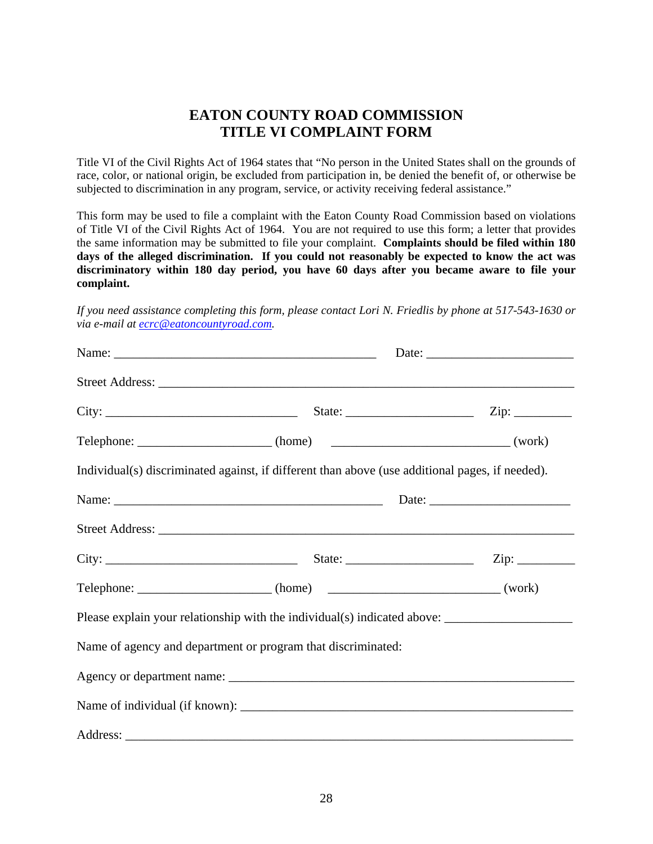## **EATON COUNTY ROAD COMMISSION TITLE VI COMPLAINT FORM**

Title VI of the Civil Rights Act of 1964 states that "No person in the United States shall on the grounds of race, color, or national origin, be excluded from participation in, be denied the benefit of, or otherwise be subjected to discrimination in any program, service, or activity receiving federal assistance."

This form may be used to file a complaint with the Eaton County Road Commission based on violations of Title VI of the Civil Rights Act of 1964. You are not required to use this form; a letter that provides the same information may be submitted to file your complaint. **Complaints should be filed within 180 days of the alleged discrimination. If you could not reasonably be expected to know the act was discriminatory within 180 day period, you have 60 days after you became aware to file your complaint.** 

*If you need assistance completing this form, please contact Lori N. Friedlis by phone at 517-543-1630 or via e-mail at ecrc@eatoncountyroad.com.* 

|  | Individual(s) discriminated against, if different than above (use additional pages, if needed).      |  |  |  |  |
|--|------------------------------------------------------------------------------------------------------|--|--|--|--|
|  |                                                                                                      |  |  |  |  |
|  |                                                                                                      |  |  |  |  |
|  |                                                                                                      |  |  |  |  |
|  | Telephone: ______________________(home) __________________________________(work)                     |  |  |  |  |
|  | Please explain your relationship with the individual(s) indicated above: ___________________________ |  |  |  |  |
|  | Name of agency and department or program that discriminated:                                         |  |  |  |  |
|  |                                                                                                      |  |  |  |  |
|  |                                                                                                      |  |  |  |  |
|  |                                                                                                      |  |  |  |  |